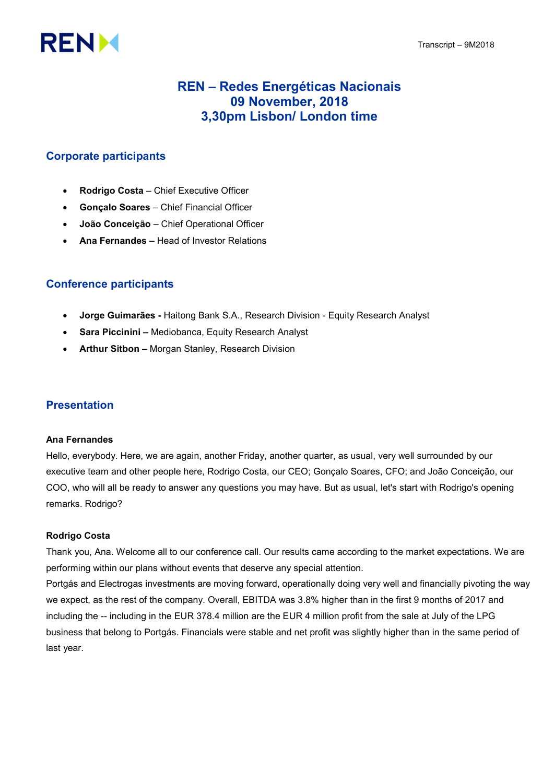# **RENM**

# REN – Redes Energéticas Nacionais 09 November, 2018 3,30pm Lisbon/ London time

# Corporate participants

- Rodrigo Costa Chief Executive Officer
- Gonçalo Soares Chief Financial Officer
- João Conceição Chief Operational Officer
- Ana Fernandes Head of Investor Relations

# Conference participants

- Jorge Guimarães Haitong Bank S.A., Research Division Equity Research Analyst
- Sara Piccinini Mediobanca, Equity Research Analyst
- Arthur Sitbon Morgan Stanley, Research Division

# Presentation

# Ana Fernandes

Hello, everybody. Here, we are again, another Friday, another quarter, as usual, very well surrounded by our executive team and other people here, Rodrigo Costa, our CEO; Gonçalo Soares, CFO; and João Conceição, our COO, who will all be ready to answer any questions you may have. But as usual, let's start with Rodrigo's opening remarks. Rodrigo?

# Rodrigo Costa

Thank you, Ana. Welcome all to our conference call. Our results came according to the market expectations. We are performing within our plans without events that deserve any special attention.

Portgás and Electrogas investments are moving forward, operationally doing very well and financially pivoting the way we expect, as the rest of the company. Overall, EBITDA was 3.8% higher than in the first 9 months of 2017 and including the -- including in the EUR 378.4 million are the EUR 4 million profit from the sale at July of the LPG business that belong to Portgás. Financials were stable and net profit was slightly higher than in the same period of last year.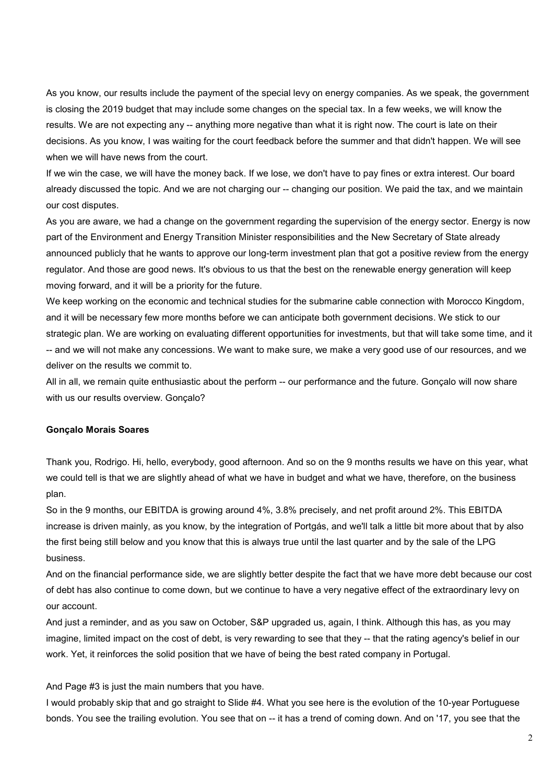As you know, our results include the payment of the special levy on energy companies. As we speak, the government is closing the 2019 budget that may include some changes on the special tax. In a few weeks, we will know the results. We are not expecting any -- anything more negative than what it is right now. The court is late on their decisions. As you know, I was waiting for the court feedback before the summer and that didn't happen. We will see when we will have news from the court.

If we win the case, we will have the money back. If we lose, we don't have to pay fines or extra interest. Our board already discussed the topic. And we are not charging our -- changing our position. We paid the tax, and we maintain our cost disputes.

As you are aware, we had a change on the government regarding the supervision of the energy sector. Energy is now part of the Environment and Energy Transition Minister responsibilities and the New Secretary of State already announced publicly that he wants to approve our long-term investment plan that got a positive review from the energy regulator. And those are good news. It's obvious to us that the best on the renewable energy generation will keep moving forward, and it will be a priority for the future.

We keep working on the economic and technical studies for the submarine cable connection with Morocco Kingdom, and it will be necessary few more months before we can anticipate both government decisions. We stick to our strategic plan. We are working on evaluating different opportunities for investments, but that will take some time, and it -- and we will not make any concessions. We want to make sure, we make a very good use of our resources, and we deliver on the results we commit to.

All in all, we remain quite enthusiastic about the perform -- our performance and the future. Gonçalo will now share with us our results overview. Gonçalo?

#### Gonçalo Morais Soares

Thank you, Rodrigo. Hi, hello, everybody, good afternoon. And so on the 9 months results we have on this year, what we could tell is that we are slightly ahead of what we have in budget and what we have, therefore, on the business plan.

So in the 9 months, our EBITDA is growing around 4%, 3.8% precisely, and net profit around 2%. This EBITDA increase is driven mainly, as you know, by the integration of Portgás, and we'll talk a little bit more about that by also the first being still below and you know that this is always true until the last quarter and by the sale of the LPG business.

And on the financial performance side, we are slightly better despite the fact that we have more debt because our cost of debt has also continue to come down, but we continue to have a very negative effect of the extraordinary levy on our account.

And just a reminder, and as you saw on October, S&P upgraded us, again, I think. Although this has, as you may imagine, limited impact on the cost of debt, is very rewarding to see that they -- that the rating agency's belief in our work. Yet, it reinforces the solid position that we have of being the best rated company in Portugal.

#### And Page #3 is just the main numbers that you have.

I would probably skip that and go straight to Slide #4. What you see here is the evolution of the 10-year Portuguese bonds. You see the trailing evolution. You see that on -- it has a trend of coming down. And on '17, you see that the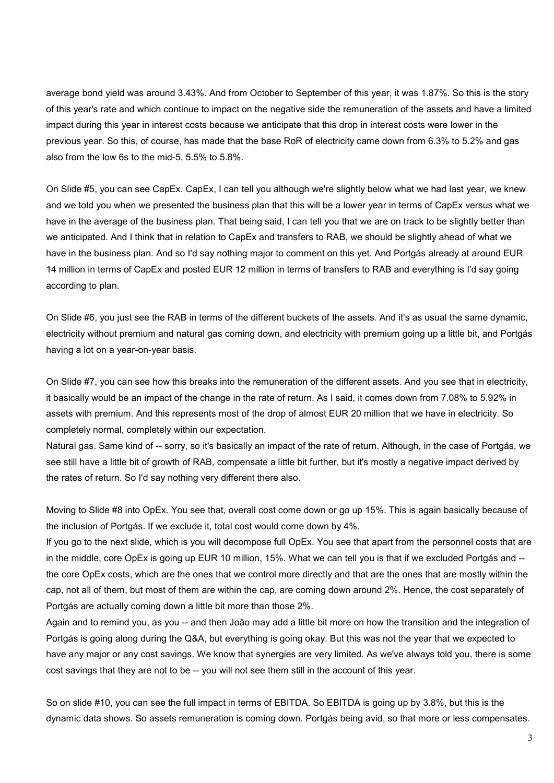average bond yield was around 3.43%. And from October to September of this year, it was 1.87%. So this is the story of this year's rate and which continue to impact on the negative side the remuneration of the assets and have a limited impact during this year in interest costs because we anticipate that this drop in interest costs were lower in the previous year. So this, of course, has made that the base RoR of electricity came down from 6.3% to 5.2% and gas also from the low 6s to the mid-5, 5.5% to 5.8%.

On Slide #5, you can see CapEx. CapEx, I can tell you although we're slightly below what we had last year, we knew and we told you when we presented the business plan that this will be a lower year in terms of CapEx versus what we have in the average of the business plan. That being said, I can tell you that we are on track to be slightly better than we anticipated. And I think that in relation to CapEx and transfers to RAB, we should be slightly ahead of what we have in the business plan. And so I'd say nothing major to comment on this yet. And Portgás already at around EUR 14 million in terms of CapEx and posted EUR 12 million in terms of transfers to RAB and everything is I'd say going according to plan.

On Slide #6, you just see the RAB in terms of the different buckets of the assets. And it's as usual the same dynamic, electricity without premium and natural gas coming down, and electricity with premium going up a little bit, and Portgás having a lot on a year-on-year basis.

On Slide #7, you can see how this breaks into the remuneration of the different assets. And you see that in electricity, it basically would be an impact of the change in the rate of return. As I said, it comes down from 7.08% to 5.92% in assets with premium. And this represents most of the drop of almost EUR 20 million that we have in electricity. So completely normal, completely within our expectation.

Natural gas. Same kind of -- sorry, so it's basically an impact of the rate of return. Although, in the case of Portgás, we see still have a little bit of growth of RAB, compensate a little bit further, but it's mostly a negative impact derived by the rates of return. So I'd say nothing very different there also.

Moving to Slide #8 into OpEx. You see that, overall cost come down or go up 15%. This is again basically because of the inclusion of Portgás. If we exclude it, total cost would come down by 4%.

If you go to the next slide, which is you will decompose full OpEx. You see that apart from the personnel costs that are in the middle, core OpEx is going up EUR 10 million, 15%. What we can tell you is that if we excluded Portgás and - the core OpEx costs, which are the ones that we control more directly and that are the ones that are mostly within the cap, not all of them, but most of them are within the cap, are coming down around 2%. Hence, the cost separately of Portgás are actually coming down a little bit more than those 2%.

Again and to remind you, as you -- and then João may add a little bit more on how the transition and the integration of Portgás is going along during the Q&A, but everything is going okay. But this was not the year that we expected to have any major or any cost savings. We know that synergies are very limited. As we've always told you, there is some cost savings that they are not to be -- you will not see them still in the account of this year.

So on slide #10, you can see the full impact in terms of EBITDA. So EBITDA is going up by 3.8%, but this is the dynamic data shows. So assets remuneration is coming down. Portgás being avid, so that more or less compensates.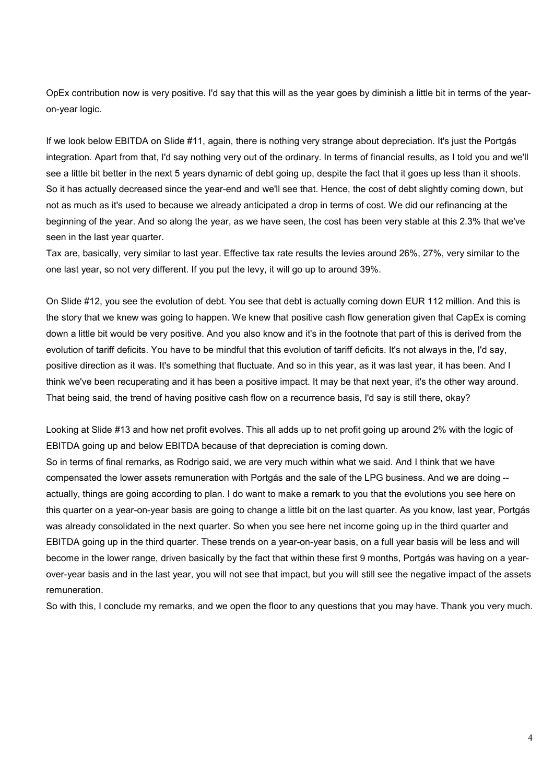OpEx contribution now is very positive. I'd say that this will as the year goes by diminish a little bit in terms of the yearon-year logic.

If we look below EBITDA on Slide #11, again, there is nothing very strange about depreciation. It's just the Portgás integration. Apart from that, I'd say nothing very out of the ordinary. In terms of financial results, as I told you and we'll see a little bit better in the next 5 years dynamic of debt going up, despite the fact that it goes up less than it shoots. So it has actually decreased since the year-end and we'll see that. Hence, the cost of debt slightly coming down, but not as much as it's used to because we already anticipated a drop in terms of cost. We did our refinancing at the beginning of the year. And so along the year, as we have seen, the cost has been very stable at this 2.3% that we've seen in the last year quarter.

Tax are, basically, very similar to last year. Effective tax rate results the levies around 26%, 27%, very similar to the one last year, so not very different. If you put the levy, it will go up to around 39%.

On Slide #12, you see the evolution of debt. You see that debt is actually coming down EUR 112 million. And this is the story that we knew was going to happen. We knew that positive cash flow generation given that CapEx is coming down a little bit would be very positive. And you also know and it's in the footnote that part of this is derived from the evolution of tariff deficits. You have to be mindful that this evolution of tariff deficits. It's not always in the, I'd say, positive direction as it was. It's something that fluctuate. And so in this year, as it was last year, it has been. And I think we've been recuperating and it has been a positive impact. It may be that next year, it's the other way around. That being said, the trend of having positive cash flow on a recurrence basis, I'd say is still there, okay?

Looking at Slide #13 and how net profit evolves. This all adds up to net profit going up around 2% with the logic of EBITDA going up and below EBITDA because of that depreciation is coming down.

So in terms of final remarks, as Rodrigo said, we are very much within what we said. And I think that we have compensated the lower assets remuneration with Portgás and the sale of the LPG business. And we are doing - actually, things are going according to plan. I do want to make a remark to you that the evolutions you see here on this quarter on a year-on-year basis are going to change a little bit on the last quarter. As you know, last year, Portgás was already consolidated in the next quarter. So when you see here net income going up in the third quarter and EBITDA going up in the third quarter. These trends on a year-on-year basis, on a full year basis will be less and will become in the lower range, driven basically by the fact that within these first 9 months, Portgás was having on a yearover-year basis and in the last year, you will not see that impact, but you will still see the negative impact of the assets remuneration.

So with this, I conclude my remarks, and we open the floor to any questions that you may have. Thank you very much.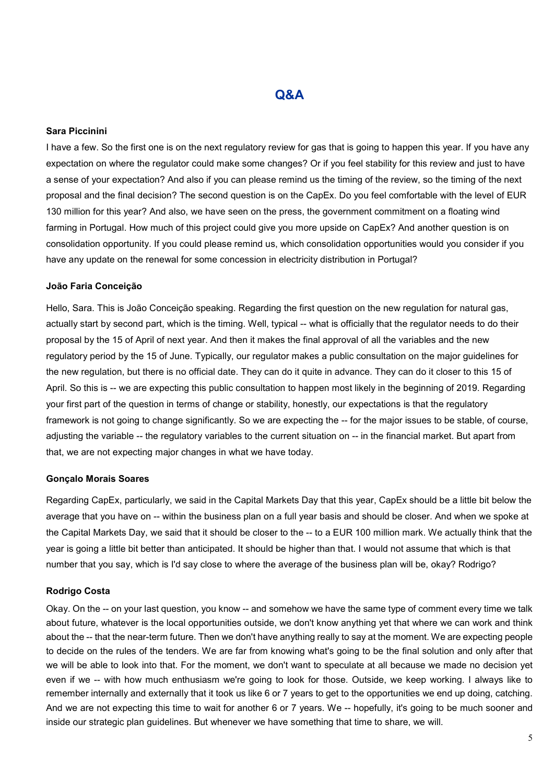# Q&A

## Sara Piccinini

I have a few. So the first one is on the next regulatory review for gas that is going to happen this year. If you have any expectation on where the regulator could make some changes? Or if you feel stability for this review and just to have a sense of your expectation? And also if you can please remind us the timing of the review, so the timing of the next proposal and the final decision? The second question is on the CapEx. Do you feel comfortable with the level of EUR 130 million for this year? And also, we have seen on the press, the government commitment on a floating wind farming in Portugal. How much of this project could give you more upside on CapEx? And another question is on consolidation opportunity. If you could please remind us, which consolidation opportunities would you consider if you have any update on the renewal for some concession in electricity distribution in Portugal?

#### João Faria Conceição

Hello, Sara. This is João Conceição speaking. Regarding the first question on the new regulation for natural gas, actually start by second part, which is the timing. Well, typical -- what is officially that the regulator needs to do their proposal by the 15 of April of next year. And then it makes the final approval of all the variables and the new regulatory period by the 15 of June. Typically, our regulator makes a public consultation on the major guidelines for the new regulation, but there is no official date. They can do it quite in advance. They can do it closer to this 15 of April. So this is -- we are expecting this public consultation to happen most likely in the beginning of 2019. Regarding your first part of the question in terms of change or stability, honestly, our expectations is that the regulatory framework is not going to change significantly. So we are expecting the -- for the major issues to be stable, of course, adjusting the variable -- the regulatory variables to the current situation on -- in the financial market. But apart from that, we are not expecting major changes in what we have today.

#### Gonçalo Morais Soares

Regarding CapEx, particularly, we said in the Capital Markets Day that this year, CapEx should be a little bit below the average that you have on -- within the business plan on a full year basis and should be closer. And when we spoke at the Capital Markets Day, we said that it should be closer to the -- to a EUR 100 million mark. We actually think that the year is going a little bit better than anticipated. It should be higher than that. I would not assume that which is that number that you say, which is I'd say close to where the average of the business plan will be, okay? Rodrigo?

#### Rodrigo Costa

Okay. On the -- on your last question, you know -- and somehow we have the same type of comment every time we talk about future, whatever is the local opportunities outside, we don't know anything yet that where we can work and think about the -- that the near-term future. Then we don't have anything really to say at the moment. We are expecting people to decide on the rules of the tenders. We are far from knowing what's going to be the final solution and only after that we will be able to look into that. For the moment, we don't want to speculate at all because we made no decision yet even if we -- with how much enthusiasm we're going to look for those. Outside, we keep working. I always like to remember internally and externally that it took us like 6 or 7 years to get to the opportunities we end up doing, catching. And we are not expecting this time to wait for another 6 or 7 years. We -- hopefully, it's going to be much sooner and inside our strategic plan guidelines. But whenever we have something that time to share, we will.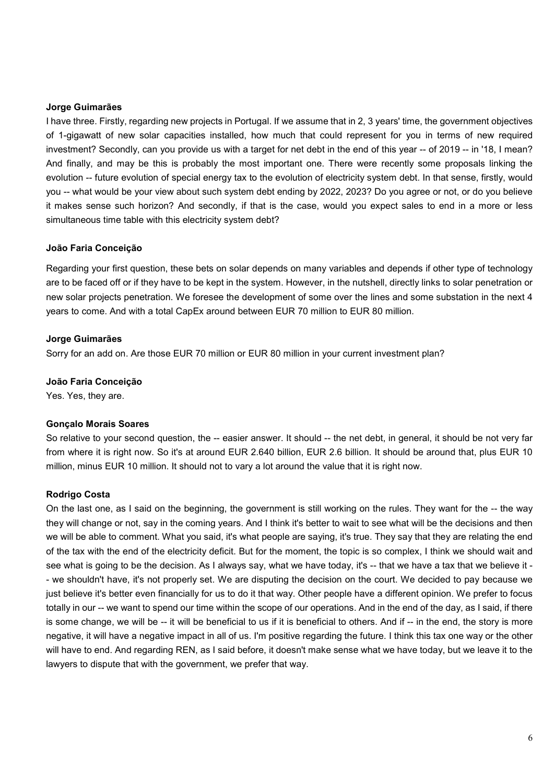#### Jorge Guimarães

I have three. Firstly, regarding new projects in Portugal. If we assume that in 2, 3 years' time, the government objectives of 1-gigawatt of new solar capacities installed, how much that could represent for you in terms of new required investment? Secondly, can you provide us with a target for net debt in the end of this year -- of 2019 -- in '18, I mean? And finally, and may be this is probably the most important one. There were recently some proposals linking the evolution -- future evolution of special energy tax to the evolution of electricity system debt. In that sense, firstly, would you -- what would be your view about such system debt ending by 2022, 2023? Do you agree or not, or do you believe it makes sense such horizon? And secondly, if that is the case, would you expect sales to end in a more or less simultaneous time table with this electricity system debt?

## João Faria Conceição

Regarding your first question, these bets on solar depends on many variables and depends if other type of technology are to be faced off or if they have to be kept in the system. However, in the nutshell, directly links to solar penetration or new solar projects penetration. We foresee the development of some over the lines and some substation in the next 4 years to come. And with a total CapEx around between EUR 70 million to EUR 80 million.

## Jorge Guimarães

Sorry for an add on. Are those EUR 70 million or EUR 80 million in your current investment plan?

## João Faria Conceição

Yes. Yes, they are.

## Gonçalo Morais Soares

So relative to your second question, the -- easier answer. It should -- the net debt, in general, it should be not very far from where it is right now. So it's at around EUR 2.640 billion, EUR 2.6 billion. It should be around that, plus EUR 10 million, minus EUR 10 million. It should not to vary a lot around the value that it is right now.

# Rodrigo Costa

On the last one, as I said on the beginning, the government is still working on the rules. They want for the -- the way they will change or not, say in the coming years. And I think it's better to wait to see what will be the decisions and then we will be able to comment. What you said, it's what people are saying, it's true. They say that they are relating the end of the tax with the end of the electricity deficit. But for the moment, the topic is so complex, I think we should wait and see what is going to be the decision. As I always say, what we have today, it's -- that we have a tax that we believe it - - we shouldn't have, it's not properly set. We are disputing the decision on the court. We decided to pay because we just believe it's better even financially for us to do it that way. Other people have a different opinion. We prefer to focus totally in our -- we want to spend our time within the scope of our operations. And in the end of the day, as I said, if there is some change, we will be -- it will be beneficial to us if it is beneficial to others. And if -- in the end, the story is more negative, it will have a negative impact in all of us. I'm positive regarding the future. I think this tax one way or the other will have to end. And regarding REN, as I said before, it doesn't make sense what we have today, but we leave it to the lawyers to dispute that with the government, we prefer that way.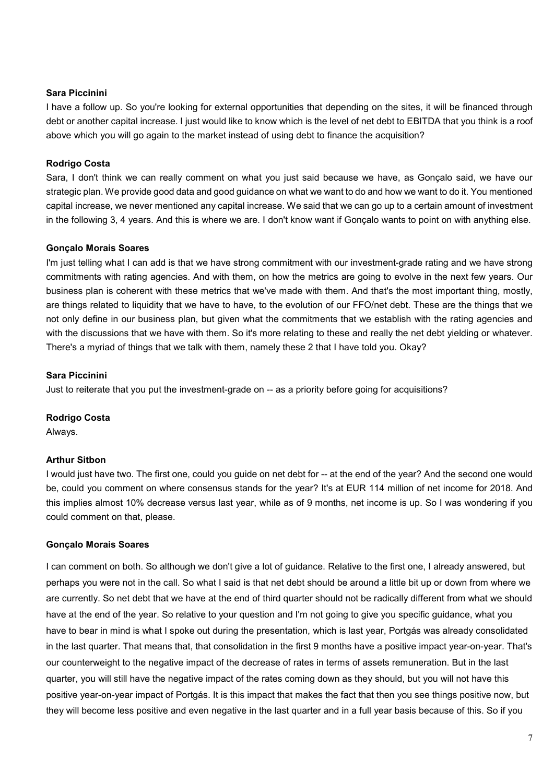## Sara Piccinini

I have a follow up. So you're looking for external opportunities that depending on the sites, it will be financed through debt or another capital increase. I just would like to know which is the level of net debt to EBITDA that you think is a roof above which you will go again to the market instead of using debt to finance the acquisition?

## Rodrigo Costa

Sara, I don't think we can really comment on what you just said because we have, as Gonçalo said, we have our strategic plan. We provide good data and good guidance on what we want to do and how we want to do it. You mentioned capital increase, we never mentioned any capital increase. We said that we can go up to a certain amount of investment in the following 3, 4 years. And this is where we are. I don't know want if Gonçalo wants to point on with anything else.

#### Gonçalo Morais Soares

I'm just telling what I can add is that we have strong commitment with our investment-grade rating and we have strong commitments with rating agencies. And with them, on how the metrics are going to evolve in the next few years. Our business plan is coherent with these metrics that we've made with them. And that's the most important thing, mostly, are things related to liquidity that we have to have, to the evolution of our FFO/net debt. These are the things that we not only define in our business plan, but given what the commitments that we establish with the rating agencies and with the discussions that we have with them. So it's more relating to these and really the net debt yielding or whatever. There's a myriad of things that we talk with them, namely these 2 that I have told you. Okay?

#### Sara Piccinini

Just to reiterate that you put the investment-grade on -- as a priority before going for acquisitions?

#### Rodrigo Costa

Always.

#### Arthur Sitbon

I would just have two. The first one, could you guide on net debt for -- at the end of the year? And the second one would be, could you comment on where consensus stands for the year? It's at EUR 114 million of net income for 2018. And this implies almost 10% decrease versus last year, while as of 9 months, net income is up. So I was wondering if you could comment on that, please.

#### Gonçalo Morais Soares

I can comment on both. So although we don't give a lot of guidance. Relative to the first one, I already answered, but perhaps you were not in the call. So what I said is that net debt should be around a little bit up or down from where we are currently. So net debt that we have at the end of third quarter should not be radically different from what we should have at the end of the year. So relative to your question and I'm not going to give you specific guidance, what you have to bear in mind is what I spoke out during the presentation, which is last year, Portgás was already consolidated in the last quarter. That means that, that consolidation in the first 9 months have a positive impact year-on-year. That's our counterweight to the negative impact of the decrease of rates in terms of assets remuneration. But in the last quarter, you will still have the negative impact of the rates coming down as they should, but you will not have this positive year-on-year impact of Portgás. It is this impact that makes the fact that then you see things positive now, but they will become less positive and even negative in the last quarter and in a full year basis because of this. So if you